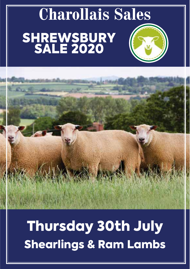# **Charollais Sales SHREWSBURY** SALE 2020

# Thursday 30th July Shearlings & Ram Lambs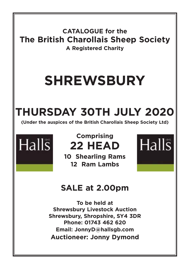**CATALOGUE for the The British Charollais Sheep Society A Registered Charity**

# **SHREWSBURY**

# **THURSDAY 30TH JULY 2020**

**(Under the auspices of the British Charollais Sheep Society Ltd)**



# **Comprising 22 HEAD**

**10 Shearling Rams 12 Ram Lambs**



## **SALE at 2.00pm**

**To be held at Shrewsbury Livestock Auction Shrewsbury, Shropshire, SY4 3DR Phone: 01743 462 620 Email: JonnyD@hallsgb.com Auctioneer: Jonny Dymond**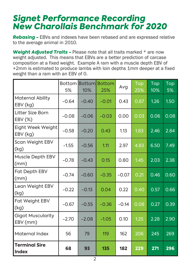## *Signet Performance Recording New Charollais Benchmark for 2020*

*Rebasing -* EBVs and indexes have been rebased and are expressed relative to the average animal in 2010.

*Weight Adjusted Traits -* Please note that all traits marked \* are now weight adjusted. This means that EBVs are a better prediction of carcase composition at a fixed weight. Example A ram with a muscle depth EBV of +2mm is estimated to produce lambs with loin depths 1mm deeper at a fixed weight than a ram with an EBV of 0.

|                                      | 5%      | 10%     | <b>Bottom Bottom Bottom</b><br>25% | Avg     | Top<br>25% | $\overline{\text{Top}}$<br>10% | Top<br>5% |
|--------------------------------------|---------|---------|------------------------------------|---------|------------|--------------------------------|-----------|
| <b>Maternal Ability</b><br>EBV (kg)  | $-0.64$ | $-0.40$ | $-0.01$                            | 0.43    | 0.87       | 1.26                           | 1.50      |
| Litter Size Born<br>EBV (%)          | $-0.08$ | $-0.06$ | $-0.03$                            | 0.00    | 0.03       | 0.06                           | 0.08      |
| Eight Week Weight<br>EBV (kg)        | $-0.58$ | $-0.20$ | 0.43                               | 1.13    | 1.83       | 2.46                           | 2.84      |
| Scan Weight EBV<br>(kg)              | $-1.55$ | $-0.56$ | 1.11                               | 2.97    | 4.83       | 6.50                           | 7.49      |
| Muscle Depth EBV<br>(mm)             | $-0.78$ | $-0.43$ | 0.15                               | 0.80    | 1.45       | 2.03                           | 2.38      |
| Fat Depth EBV<br>(mm)                | $-0.74$ | $-0.60$ | $-0.35$                            | $-0.07$ | 0.21       | 0.46                           | 0.60      |
| Lean Weight EBV<br>(kg)              | $-0.22$ | $-0.13$ | 0.04                               | 0.22    | 0.40       | 0.57                           | 0.66      |
| Fat Weight EBV<br>(kg)               | $-0.67$ | $-0.55$ | $-0.36$                            | $-0.14$ | 0.08       | 0.27                           | 0.39      |
| <b>Gigot Muscularity</b><br>EBV (mm) | $-2.70$ | $-2.08$ | $-1.05$                            | 0.10    | 1.25       | 2.28                           | 2.90      |
| Maternal Index                       | 56      | 79      | 119                                | 162     | 206        | 245                            | 269       |
| <b>Terminal Sire</b><br><b>Index</b> | 68      | 93      | 135                                | 182     | 229        | 271                            | 296       |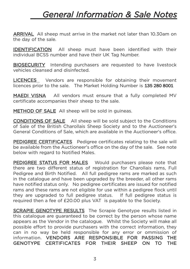# *General Information & Sale Notes*

ARRIVAL All sheep must arrive in the market not later than 10.30am on the day of the sale.

IDENTIFICATION All sheep must have been identified with their individual BCSS number and have their UK Tag Number.

BIOSECURITY Intending purchasers are requested to have livestock vehicles cleansed and disinfected.

LICENCES Vendors are responsible for obtaining their movement licences prior to the sale. The Market Holding Number is 135 280 8001

MAEDI VISNA All vendors must ensure that a fully completed MV certificate accompanies their sheep to the sale.

METHOD OF SALE All sheep will be sold in quineas.

CONDITIONS OF SALE All sheep will be sold subject to the Conditions of Sale of the British Charollais Sheep Society and to the Auctioneer's General Conditions of Sale, which are available in the Auctioneer's office.

PEDIGREE CERTIFICATES Pedigree certificates relating to the sale will be available from the Auctioneer's office on the day of the sale. See note below with regard to Notified Males.

PEDIGREE STATUS FOR MALES Would purchasers please note that there are two different status of registration for Charollais rams, Full Pedigree and Birth Notified. All full pedigree rams are marked as such in the catalogue and have been upgraded by the breeder, all other rams have notified status only. No pedigree certificates are issued for notified rams and these rams are not eligible for use within a pedigree flock until they are upgraded to full pedigree status. If full pedigree status is required then a fee of £20.00 plus VAT is payable to the Society.

SCRAPIE GENOTYPE RESULTS The Scrapie Genotype results listed in this catalogue are guaranteed to be correct by the person whose name appears as the Vendor in the catalogue. Whilst the Society will make all possible effort to provide purchasers with the correct information, they can in no way be held responsible for any error or ommission of information. VENDORS ARE RESPONSIBLE FOR PASSING THE GENOTYPE CERTIFICATES FOR THEIR SHEEP ON TO THE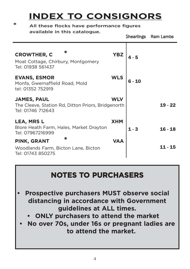# **INDEX TO CONSIGNORS**

**\*** All these flocks have performance figures

|                                                                                               |            |         | Shearlings Ram Lambs |
|-----------------------------------------------------------------------------------------------|------------|---------|----------------------|
| $\ast$<br><b>CROWTHER, C</b><br>Moat Cottage, Chirbury, Montgomery<br>Tel: 01938 561437       | <b>YBZ</b> | $4 - 5$ |                      |
| <b>EVANS, ESMOR</b><br>Monfa, Gwernaffield Road, Mold<br>tel: 01352 752919                    | <b>WLS</b> |         |                      |
| <b>JAMES, PAUL</b><br>The Cleeve, Station Rd, Ditton Priors, Bridgenorth<br>Tel: 01746 712643 | <b>WLV</b> |         | $19 - 22$            |
| <b>LEA, MRS L</b><br>Blore Heath Farm, Hales, Market Drayton<br>Tel: 07967216999              | <b>XHM</b> | $1 - 3$ | $16 - 18$            |
| ж<br>PINK, GRANT                                                                              | VAA        |         |                      |
| Woodlands Farm, Bicton Lane, Bicton<br>Tel: 01743 850275                                      |            |         | 11 - 15              |

## **NOTES TO PURCHASERS**

- **• Prospective purchasers MUST observe social distancing in accordance with Government guidelines at ALL times.**
	- **• ONLY purchasers to attend the market**
- **• No over 70s, under 16s or pregnant ladies are to attend the market.**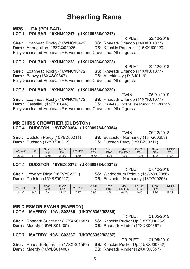## **Shearling Rams**

#### **MRS L LEA (POLBAR)** LOT 1 POLBAR 19XHM00217 (UK0169836/00217)

TRIPLET 22/12/2018 Sire: Loanhead Rocky (16WNC15472) SS: Rhaeadr Orlando (14XXK01077) Dam: Artnagullion (16ZGQ02925) **DS:** Knockin Paparazzi (15XXJ00229) Fully vaccinated Heptavac P+, wormed and Crovected, All off grass.

#### LOT 2 POLBAR 19XHM00223 (UK0169836/00223)

TRIPLET 22/12/2018 Sire: Loanhead Rocky (16WNC15472) SS: Rhaeadr Orlando (14XXK01077) Dam: Banwy (13XXS00347) DS: Aberkinsey (1YBJ0116) Fully vaccinated Heptayac P+, wormed and Crovected. All off grass.

#### LOT 3 POLBAR 19XHM00220 (UK0169836/00220)

**TWIN** 05/01/2019 Sire: Loanhead Rocky (16WNC15472) SS: Rhaeadr Orlando (14XXK01077) Dam: Castellau (15TZ01044) DS: Castellau Lord of The Manor (11TZ00252) Fully vaccinated Heptavac P+, wormed and Crovected. All off grass.

#### **MR CHRIS CROWTHER (DUDSTON)** LOT 4 DUDSTON 19YBZ00384 (UK0309784/00384)

Sire: Dudston Percy (15YBZ00211) Dam: Dudston (17YBZ00312)

**TWIN** 09/12/2018 SS: Edstaston Normandy (13TG00253) DS: Dudston Percy (15YBZ00211)

| Adj Wgt | Age          | Scan<br>Wgt | Mscle<br>Dep | $F$ at Dep | 8 Wk<br><b>EBV</b> | Scan<br>EBV    | Mscl<br>Dpt EBV | Fat Dpt<br>EBV | Gigot<br>EB\ | <b>INDEX</b><br>EB\ |
|---------|--------------|-------------|--------------|------------|--------------------|----------------|-----------------|----------------|--------------|---------------------|
| 22.30   | $\mathbf{A}$ | 48.50       | 29.90        | 5.30       | $-0.60$            | $\sim$<br>ا با | 0.90            | $-0.20$        |              | 110.87              |

#### LOT 5 DUDSTON 19YBZ00372 (UK0309784/00372)

Sire: Lowerye Rioja (16ZVY02621) **Dam:** Dudston (15YBZ00227)

TRIPI FT 07/12/2018 SS: Wedderburn Peleus (15WNY02086) DS: Edstaston Normandy (13TG00253)

| Adj Wgt | Age | Scan<br>Wgt  | Mscle<br>Dep                     | Dep<br>Fat    | 8 Wk<br><b>EBV</b> | Scan<br>EBV | Mscl<br>EBV<br>Dnt | Fat<br>Dpt<br><b>EBV</b> | Gigot<br><b>EBV</b> | <b>INDEX</b><br><b>EBV</b> |
|---------|-----|--------------|----------------------------------|---------------|--------------------|-------------|--------------------|--------------------------|---------------------|----------------------------|
| 21.30   | 143 | $\sim$<br>ບບ | $^{\prime}$ .20<br>$\sim$<br>، ے | $\sim$<br>$-$ | 0.95               | 2.39        | $-0.06$            | 0.40                     | 76<br>.             | 170.91                     |

#### **MR D ESMOR EVANS (MAERDY)** LOT 6 MAERDY 19WLS02386 (UK0706352/02386)

Sire: Rhaeadr Superstar (17XXK01587) **Dam: Maerdy (16WLS01400)** 

SS: Knockin Pucker Up (15XXJ00232) DS: Rhaeadr Minder (12XXK00357)

#### LOT 7 MAERDY 19WLS02387 (UK0706352/02387)

Sire: Rhaeadr Superstar (17XXK01587) Dam: Maerdy (16WLS01400)

01/05/2019 TRIPI FT SS: Knockin Pucker Up (15XXJ00232) DS: Rhaeadr Minder (12XXK00357)

TRIPLET 01/05/2019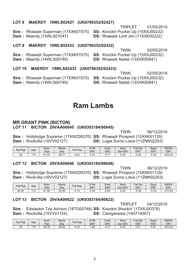#### LOT 8 MAERDY 19WLS02427 (UK0706352/02427)

TRIPI FT 01/05/2019 Sire: Rhaeadr Superman (17XXK01575) SS: Knockin Pucker Up (15XXJ00232) Dam: Maerdy (15WLS01047) DS: Rhaeadr Lord Jim (11XXK00222)

#### LOT 9 MAERDY 19WLS02432 (UK0706352/02432)

**TWIN** 02/05/2019 Sire: Rhaeadr Superman (17XXK01575) SS: Knockin Pucker Up (15XXJ00232) Dam: Maerdy (14WLS00749) DS: Rhaeadr Nadal (13XXK00841)

LOT 10 MAERDY 19WLS02433 (UK0706352/02433)

**TWIN** 02/05/2019 Sire: Rhaeadr Superman (17XXK01575) SS: Knockin Pucker Up (15XXJ00232) Dam: Maerdy (14WLS00749) DS: Rhaeadr Nadal (13XXK00841)

### **Ram Lambs**

#### **MR GRANT PINK (BICTON)** LOT 11 BICTON 20VAA00645 (UK0303184/00645)

Sire: Hollylodge Supreme (17XWZ00370) SS: Rhaeadr Prospect (15XXK01129) Dam: Rockvilla (16VV02127) DS: Logie Durno Lotus (11ZNN02253)

| Adj Wgt | Age        | Scan<br>Wgt | <b>Mscle</b><br>Dep              | Fat Dep | 8 Wk<br>EB\ | Scan<br>EB <sub>V</sub> | Mscl<br><b>EBV</b><br>Dpt | Fat<br>Dpt<br>EBV | Gigot<br><b>EBV</b> | <b>INDEX</b><br>EBV |
|---------|------------|-------------|----------------------------------|---------|-------------|-------------------------|---------------------------|-------------------|---------------------|---------------------|
| つら<br>∠ | 170<br>ں ، | 81.40       | $\overline{\phantom{a}}$<br>39.7 | 6.63    | 2.44        | υ. ι                    | 0.94                      | 0.02              | $-0.35$             | 242.29              |

#### LOT 12 BICTON 20VAA00646 (UK0303184/00646)

**TWIN** 06/12/2019 Sire: Hollylodge Supreme (17XWZ00370) SS: Rhaeadr Prospect (15XXK01129) Dam: Rockvilla (16VV02127) DS: Logie Durno Lotus (11ZNN02253)

| Adi Wat | Age                   | Scan<br>Wgt             | Mscle<br>Dep | Fat Dep                   | 8 Wk<br>EB\ | Scan<br>EBV | <b>Msc</b><br>EBV<br>Dpt | $=$ at<br>Dpt<br>EBV | Gigot<br><b>EBV</b> | <b>INDEX</b><br>EBV |
|---------|-----------------------|-------------------------|--------------|---------------------------|-------------|-------------|--------------------------|----------------------|---------------------|---------------------|
| 26.50   | $\overline{z}$<br>ن ، | 31.40<br>0 <sub>A</sub> | 35.65        | $\overline{A}$<br>◡<br>J. | 2.44        | 6.63        | 0.20                     | 0.29                 | $-0.35$             | 215.59              |

#### LOT 13 BICTON 20VAA00622 (UK0303184/00622)

TRIPI FT 04/12/2019

**Sire:** Edstaston Trip Advisor (18TG00748) **SS:** Knockin Shockin' (17XXJ00376) Dam: Rockvilla (15VV01724) DS: Carriganeela (14H714007)

| Adj Wgt | Age       | Scan<br>Wgt | <b>Mscle</b><br>Dep | $=$ at<br>Dep            | 8 Wk<br>EB\ | Scan<br>EBV   | Msci<br>Dpt<br>EBV | $=$ at<br>Dpt<br><b>EBV</b> | Gigot<br><b>EBV</b> | <b>INDEX</b><br>EBV |
|---------|-----------|-------------|---------------------|--------------------------|-------------|---------------|--------------------|-----------------------------|---------------------|---------------------|
| 29      | 175<br>70 | 68.20       | 29.92               | $\sim$<br>$\sim$<br>b.33 | .68         | $\sim$<br>4.Z | 0.40               | 0.61                        | 0.97                | 204.55              |

**TWIN** 06/12/2019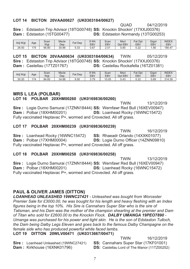#### **-**

QUAD 04/12/2019 Sire: Edstaston Trip Advisor (18TG00748) SS: Knockin Shockin' (17XXJ00376) **Dam:** Edstaston (15TG00477) **DS:** Edstaston Normandy (13TG00253)

| Adj Wgt | Age | Scan<br>Wgt | Mscle<br>Dep | Fat Dep        | 8 Wk<br><b>EBV</b> | Scan<br>EBV | <b>Msc</b><br>EBV<br>Dpt | Fat Dpt<br><b>EBV</b> | Gigot<br>EBV | <b>INDEX</b><br>EBV |
|---------|-----|-------------|--------------|----------------|--------------------|-------------|--------------------------|-----------------------|--------------|---------------------|
| 26.50   | 175 | 66.80       | 30.96        | $\sim$<br>ບ.ບບ | 0.67               | 2.01        | 0.85                     | n nn<br>U.ZZ          | 56،،         | 180.47              |

LOT 15 BICTON 20VAA00634 (UK0303184/00634) **TWIN** 05/12/2019 Sire: Edstaston Trip Advisor (18TG00748) SS: Knockin Shockin' (17XXJ00376) **Dam:** Castellau  $(17TZ01767)$  **DS:** Castellau Rockafella (16TZ01381)

| Adj Wgt | Age | Scan<br>Wat | <b>Mscle</b><br>Dep | Fat<br>Dep | 8 Wk<br><b>EBV</b> | Scan<br>EBV | <b>Msc</b><br>EBV<br>Dpt | Fat<br>Dpt<br><b>EBV</b> | Gigot<br>EBV | <b>INDEX</b><br>EBV |
|---------|-----|-------------|---------------------|------------|--------------------|-------------|--------------------------|--------------------------|--------------|---------------------|
| 30.20   | .74 | 84.60       | 34.88               | 9.50       | 70                 | 0.05        | 0.43                     | .00<br>U.ZZ              | 0.69         | 314.39              |

#### **MRS L LEA (POLBAR)** LOT 16 POLBAR 20XHM00260 (UK0169836/00260)

**TWIN** 13/12/2019 Sire: Logie Durno Samurai (17ZNN18444) SS: Wernfawr Red Bull (16XEV00947)  $\mathsf{Dam}:$  Polbar (18XHM00201)  $\qquad \qquad \mathsf{DS}:$ Loanhead Rocky (16WNC15472) Fully vaccinated Heptavac P+, wormed and Crovected. All off grass.

#### LOT 17 POLBAR 20XHM00239 (UK0169836/00239)

**TWIN** 16/12/2019 Sire: Loanhead Rocky (16WNC15472) SS: Rhaeadr Orlando (14XXK01077)  $\mathsf{Dam}:$  Polbar (17XHM00004)  $\qquad \qquad \mathsf{DS}:$ Logie Durno Officer (14ZNN09810) Fully vaccinated Heptavac P+, wormed and Crovected. All off grass.

#### LOT 18 POLBAR 20XHM00258 (UK0169836/00258)

**TWIN** 13/12/2019 Sire: Logie Durno Samurai (17ZNN18444) SS: Wernfawr Red Bull (16XEV00947)  $\mathsf{Dam}:$  Polbar (18XHM00201)  $\qquad \qquad \mathsf{DS}:$ Loanhead Rocky (16WNC15472) Fully vaccinated Heptavac P+, wormed and Crovected. All off grass.

#### **PAUL & OLIVER JAMES (DITTON)**

*LOANHEAD UNLEASHED 19WNC27421 - Unleashed was bought from Worcester Premier Sale for £3000.00, he was bought for his length and heavy fleshing with an Index figures being in the top 10%. His Sire is Cannahars Super Star who is the sire of Talisman, and his Dam was the mother of the champion shearling at the premier and Dam of Titan who sold for £2600.00 to the Knockin Flock. DALBY UMANGA 19PEO7890 - Umanga was purchased for his power and tight skin. He is the son of Edstaston Tulloch, the Dam being Dalby Legs Eleven and goes back to the famous Dalby Champagne on the female side who has produced powerful white faced lambs.* 

#### LOT 19 DITTON 20WLV00471 (UK0313667/00471)

|                                              | <b>TWIN</b>                                        | 16/12/2019 |
|----------------------------------------------|----------------------------------------------------|------------|
| <b>Sire:</b> Loanhead Unleashed (19WNC27421) | <b>SS:</b> Cannahars Super Star (17KF01001)        |            |
| <b>Dam:</b> Kirkhouse (16XNK01796)           | <b>DS:</b> Castellau Lord of The Manor (11TZ00252) |            |

 $T_{\text{MAX}}$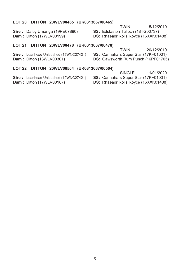#### LOT 20 DITTON 20WLV00465 (UK0313667/00465)

**TWIN** 15/12/2019

Sire: Dalby Umanga (19PE07890) **Dam: Ditton (17WLV00199)** 

SS: Edstaston Tulloch (18TG00737) DS: Rhaeadr Rolls Royce (16XXK01488)

#### LOT 21 DITTON 20WLV00478 (UK0313667/00478)

Sire: Loanhead Unleashed (19WNC27421) **Dam: Ditton (18WLV00301)** 

**TWIN** 20/12/2019

SS: Cannahars Super Star (17KF01001)

DS: Gawsworth Rum Punch (16PF01705)

#### LOT 22 DITTON 20WLV00504 (UK0313667/00504)

Sire: Loanhead Unleashed (19WNC27421)

**Dam: Ditton (17WLV00187)** 

- SINGLE 11/01/2020
- SS: Cannahars Super Star (17KF01001)
- DS: Rhaeadr Rolls Royce (16XXK01488)